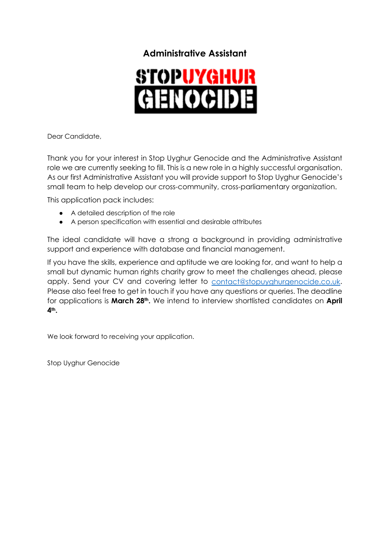# **Administrative Assistant**



Dear Candidate,

Thank you for your interest in Stop Uyghur Genocide and the Administrative Assistant role we are currently seeking to fill. This is a new role in a highly successful organisation. As our first Administrative Assistant you will provide support to Stop Uyghur Genocide's small team to help develop our cross-community, cross-parliamentary organization.

This application pack includes:

- A detailed description of the role
- A person specification with essential and desirable attributes

The ideal candidate will have a strong a background in providing administrative support and experience with database and financial management.

If you have the skills, experience and aptitude we are looking for, and want to help a small but dynamic human rights charity grow to meet the challenges ahead, please apply. Send your CV and covering letter to contact@stopuyghurgenocide.co.uk. Please also feel free to get in touch if you have any questions or queries. The deadline for applications is **March 28th.** We intend to interview shortlisted candidates on **April 4th.**

We look forward to receiving your application.

Stop Uyghur Genocide